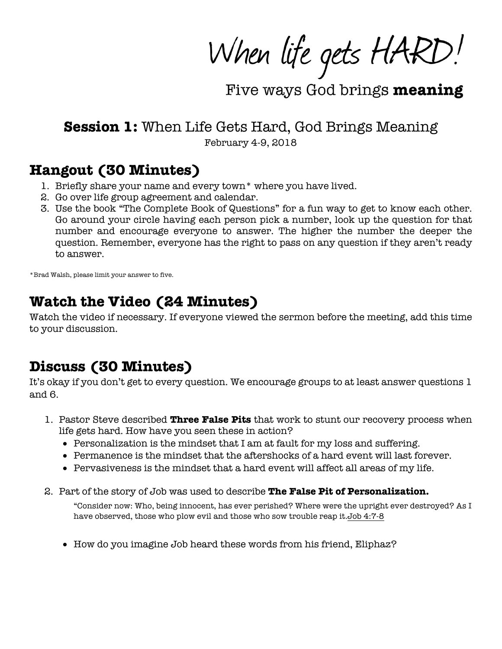When life gets HARD!

Five ways God brings meaning

**Session 1:** When Life Gets Hard, God Brings Meaning

February 4-9, 2018

### **Hangout (30 Minutes)**

- 1. Briefly share your name and every town\* where you have lived.
- 2. Go over life group agreement and calendar.
- 3. Use the book "The Complete Book of Questions" for a fun way to get to know each other. Go around your circle having each person pick a number, look up the question for that number and encourage everyone to answer. The higher the number the deeper the question. Remember, everyone has the right to pass on any question if they aren't ready to answer.

\*Brad Walsh, please limit your answer to five.

## **Watch the Video (24 Minutes)**

Watch the video if necessary. If everyone viewed the sermon before the meeting, add this time to your discussion.

# **Discuss (30 Minutes)**

It's okay if you don't get to every question. We encourage groups to at least answer questions 1 and 6.

- 1. Pastor Steve described **Three False Pits** that work to stunt our recovery process when life gets hard. How have you seen these in action?
	- Personalization is the mindset that I am at fault for my loss and suffering.
	- Permanence is the mindset that the aftershocks of a hard event will last forever.
	- Pervasiveness is the mindset that a hard event will affect all areas of my life.
- 2. Part of the story of Job was used to describe **The False Pit of Personalization.**

"Consider now: Who, being innocent, has ever perished? Where were the upright ever destroyed? As I have observed, those who plow evil and those who sow trouble reap it.Job 4:7-8

• How do you imagine Job heard these words from his friend, Eliphaz?